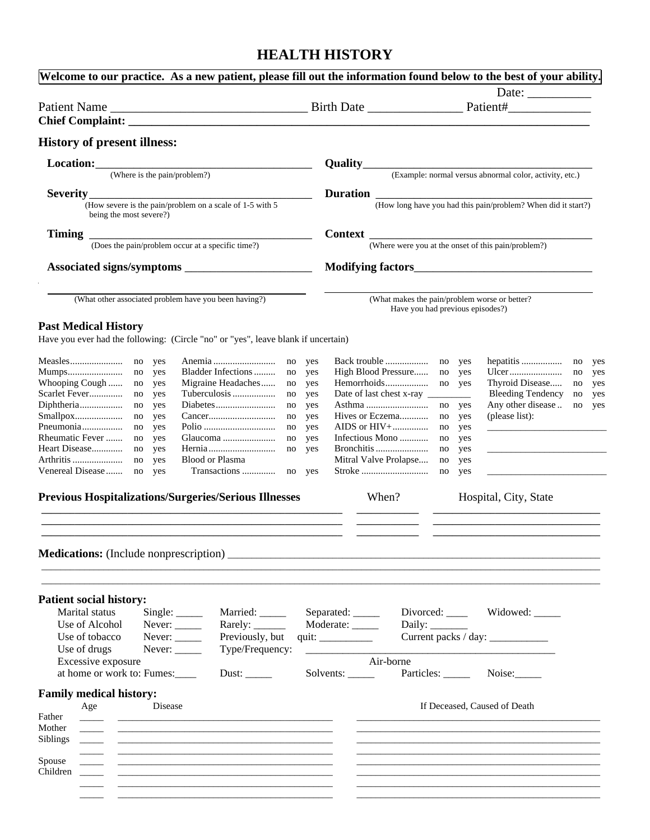# **HEALTH HISTORY**

| Welcome to our practice. As a new patient, please fill out the information found below to the best of your ability. |                        |                                         |                                                                                   |                        |
|---------------------------------------------------------------------------------------------------------------------|------------------------|-----------------------------------------|-----------------------------------------------------------------------------------|------------------------|
|                                                                                                                     |                        |                                         | Date: $\_\_$                                                                      |                        |
|                                                                                                                     |                        |                                         |                                                                                   |                        |
|                                                                                                                     |                        |                                         |                                                                                   |                        |
| <b>History of present illness:</b>                                                                                  |                        |                                         |                                                                                   |                        |
| Location: <u>_______________________</u>                                                                            |                        |                                         |                                                                                   |                        |
| (Where is the pain/problem?)                                                                                        |                        |                                         | <b>Quality</b> (Example: normal versus abnormal color, activity, etc.)            |                        |
|                                                                                                                     |                        |                                         |                                                                                   |                        |
| Severity<br>$\mathbf{y}$ (How severe is the pain/problem on a scale of 1-5 with 5                                   |                        |                                         | <b>Duration</b> (How long have you had this pain/problem? When did it start?)     |                        |
| being the most severe?)                                                                                             |                        |                                         |                                                                                   |                        |
|                                                                                                                     |                        |                                         |                                                                                   |                        |
| Timing<br>(Does the pain/problem occur at a specific time?)                                                         |                        |                                         | <b>Context</b> (Where were you at the onset of this pain/problem?)                |                        |
|                                                                                                                     |                        |                                         |                                                                                   |                        |
|                                                                                                                     |                        |                                         |                                                                                   |                        |
|                                                                                                                     |                        |                                         |                                                                                   |                        |
| (What other associated problem have you been having?)                                                               |                        |                                         | (What makes the pain/problem worse or better?<br>Have you had previous episodes?) |                        |
|                                                                                                                     |                        |                                         |                                                                                   |                        |
| <b>Past Medical History</b><br>Have you ever had the following: (Circle "no" or "yes", leave blank if uncertain)    |                        |                                         |                                                                                   |                        |
|                                                                                                                     |                        |                                         |                                                                                   |                        |
| Measles<br>Anemia<br>no yes                                                                                         | no<br>yes              | Back trouble                            | no yes                                                                            | yes                    |
| Mumps<br>Bladder Infections<br>no<br>yes                                                                            | no<br>yes              | High Blood Pressure                     | no<br>yes                                                                         | no<br>yes              |
| Whooping Cough<br>Migraine Headaches<br>no<br>yes<br>Scarlet Fever<br>Tuberculosis<br>no<br>yes                     | no<br>yes<br>no<br>yes | Hemorrhoids<br>Date of last chest x-ray | Thyroid Disease<br>no<br>yes<br><b>Bleeding Tendency</b>                          | yes<br>no<br>no<br>yes |
| Diphtheria<br>no<br>yes<br>no                                                                                       | yes                    |                                         | Any other disease<br>no<br>yes                                                    | no<br>yes              |
| Smallpox<br>no<br>yes                                                                                               | no<br>yes              | Hives or Eczema                         | (please list):<br>no<br>yes                                                       |                        |
| Pneumonia<br>no<br>yes<br>no                                                                                        | yes                    | AIDS or $HIV+$                          | no<br>yes                                                                         |                        |
| Rheumatic Fever<br>no<br>yes                                                                                        | no<br>yes              | Infectious Mono                         | no<br>yes                                                                         |                        |
| Heart Disease<br>no<br>no<br>yes                                                                                    | yes                    |                                         | no<br>yes                                                                         |                        |
| Blood or Plasma<br>Arthritis<br>no<br>yes<br>Venereal Disease                                                       |                        | Mitral Valve Prolapse                   | no<br>yes                                                                         |                        |
| no<br>yes                                                                                                           |                        |                                         | no<br>yes                                                                         |                        |
| <b>Previous Hospitalizations/Surgeries/Serious Illnesses</b>                                                        |                        | When?                                   | Hospital, City, State                                                             |                        |
|                                                                                                                     |                        |                                         |                                                                                   |                        |
| <b>Patient social history:</b><br>Marital status<br>Single:<br>Married:                                             |                        | Separated: _____                        | Widowed: _____                                                                    |                        |
| Use of Alcohol<br>Rarely: $\_\_\_\_\_\_\_\_\_\_\_\_\_\_\_\_\_\_$<br>Never: $\_\_$                                   |                        | Moderate: _____                         | Daily: $\_\_\_\_\_\_\_\_\_\_\_\_\_\_\_\_\_$                                       |                        |
| Use of tobacco<br>Previously, but<br>Never: $\_\_$                                                                  |                        | quit: $\qquad \qquad$                   | Current packs / day: _____________                                                |                        |
| Use of drugs<br>Never: $\_\_$<br>Type/Frequency:                                                                    |                        |                                         |                                                                                   |                        |
| Excessive exposure                                                                                                  |                        | Air-borne                               |                                                                                   |                        |
| at home or work to: Fumes:<br>Dust: $\_\_\_\_\_\_\_\_\$                                                             |                        | Solvents: $\_\_$                        | Particles: _____<br>Noise: $\sqrt{\frac{1}{2}}$                                   |                        |
| <b>Family medical history:</b><br>Age<br>Disease                                                                    |                        |                                         | If Deceased, Caused of Death                                                      |                        |
| Father                                                                                                              |                        |                                         |                                                                                   |                        |
| Mother                                                                                                              |                        |                                         |                                                                                   |                        |
| <b>Siblings</b>                                                                                                     |                        |                                         |                                                                                   |                        |
|                                                                                                                     |                        |                                         |                                                                                   |                        |
| Spouse                                                                                                              |                        |                                         |                                                                                   |                        |
| Children                                                                                                            |                        |                                         |                                                                                   |                        |
|                                                                                                                     |                        |                                         |                                                                                   |                        |